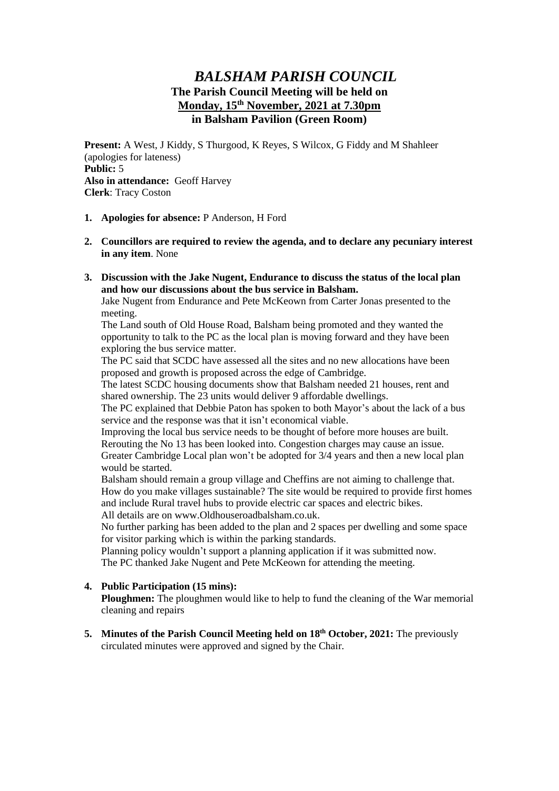# *BALSHAM PARISH COUNCIL* **The Parish Council Meeting will be held on Monday, 15th November, 2021 at 7.30pm in Balsham Pavilion (Green Room)**

**Present:** A West, J Kiddy, S Thurgood, K Reyes, S Wilcox, G Fiddy and M Shahleer (apologies for lateness) **Public:** 5 **Also in attendance:** Geoff Harvey **Clerk**: Tracy Coston

- **1. Apologies for absence:** P Anderson, H Ford
- **2. Councillors are required to review the agenda, and to declare any pecuniary interest in any item**. None
- **3. Discussion with the Jake Nugent, Endurance to discuss the status of the local plan and how our discussions about the bus service in Balsham.**

Jake Nugent from Endurance and Pete McKeown from Carter Jonas presented to the meeting.

The Land south of Old House Road, Balsham being promoted and they wanted the opportunity to talk to the PC as the local plan is moving forward and they have been exploring the bus service matter.

The PC said that SCDC have assessed all the sites and no new allocations have been proposed and growth is proposed across the edge of Cambridge.

The latest SCDC housing documents show that Balsham needed 21 houses, rent and shared ownership. The 23 units would deliver 9 affordable dwellings.

The PC explained that Debbie Paton has spoken to both Mayor's about the lack of a bus service and the response was that it isn't economical viable.

Improving the local bus service needs to be thought of before more houses are built. Rerouting the No 13 has been looked into. Congestion charges may cause an issue. Greater Cambridge Local plan won't be adopted for 3/4 years and then a new local plan would be started.

Balsham should remain a group village and Cheffins are not aiming to challenge that. How do you make villages sustainable? The site would be required to provide first homes and include Rural travel hubs to provide electric car spaces and electric bikes. All details are on www.Oldhouseroadbalsham.co.uk.

No further parking has been added to the plan and 2 spaces per dwelling and some space for visitor parking which is within the parking standards.

Planning policy wouldn't support a planning application if it was submitted now. The PC thanked Jake Nugent and Pete McKeown for attending the meeting.

### **4. Public Participation (15 mins):**

**Ploughmen:** The ploughmen would like to help to fund the cleaning of the War memorial cleaning and repairs

**5. Minutes of the Parish Council Meeting held on 18th October, 2021:** The previously circulated minutes were approved and signed by the Chair.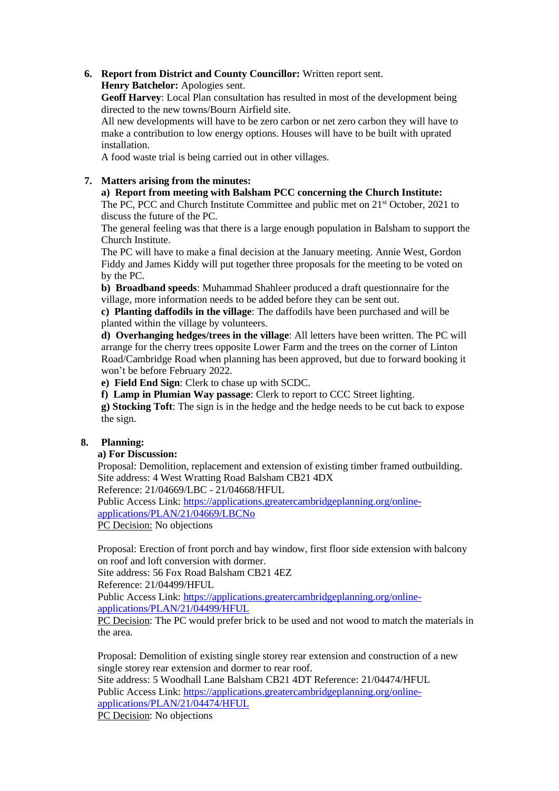# **6. Report from District and County Councillor:** Written report sent.

**Henry Batchelor:** Apologies sent.

**Geoff Harvey**: Local Plan consultation has resulted in most of the development being directed to the new towns/Bourn Airfield site.

All new developments will have to be zero carbon or net zero carbon they will have to make a contribution to low energy options. Houses will have to be built with uprated installation.

A food waste trial is being carried out in other villages.

### **7. Matters arising from the minutes:**

### **a) Report from meeting with Balsham PCC concerning the Church Institute:**

The PC, PCC and Church Institute Committee and public met on  $21<sup>st</sup>$  October, 2021 to discuss the future of the PC.

The general feeling was that there is a large enough population in Balsham to support the Church Institute.

The PC will have to make a final decision at the January meeting. Annie West, Gordon Fiddy and James Kiddy will put together three proposals for the meeting to be voted on by the PC.

**b) Broadband speeds**: Muhammad Shahleer produced a draft questionnaire for the village, more information needs to be added before they can be sent out.

**c) Planting daffodils in the village**: The daffodils have been purchased and will be planted within the village by volunteers.

**d) Overhanging hedges/trees in the village**: All letters have been written. The PC will arrange for the cherry trees opposite Lower Farm and the trees on the corner of Linton Road/Cambridge Road when planning has been approved, but due to forward booking it won't be before February 2022.

**e) Field End Sign**: Clerk to chase up with SCDC.

**f) Lamp in Plumian Way passage**: Clerk to report to CCC Street lighting.

**g) Stocking Toft**: The sign is in the hedge and the hedge needs to be cut back to expose the sign.

### **8. Planning:**

**a) For Discussion:**

Proposal: Demolition, replacement and extension of existing timber framed outbuilding. Site address: 4 West Wratting Road Balsham CB21 4DX

Reference: 21/04669/LBC - 21/04668/HFUL

Public Access Link: [https://applications.greatercambridgeplanning.org/online](https://applications.greatercambridgeplanning.org/online-applications/PLAN/21/04669/LBCNo)[applications/PLAN/21/04669/LBCNo](https://applications.greatercambridgeplanning.org/online-applications/PLAN/21/04669/LBCNo)

PC Decision: No objections

Proposal: Erection of front porch and bay window, first floor side extension with balcony on roof and loft conversion with dormer.

Site address: 56 Fox Road Balsham CB21 4EZ

Reference: 21/04499/HFUL

Public Access Link: [https://applications.greatercambridgeplanning.org/online](https://applications.greatercambridgeplanning.org/online-applications/PLAN/21/04499/HFUL)[applications/PLAN/21/04499/HFUL](https://applications.greatercambridgeplanning.org/online-applications/PLAN/21/04499/HFUL)

PC Decision: The PC would prefer brick to be used and not wood to match the materials in the area.

Proposal: Demolition of existing single storey rear extension and construction of a new single storey rear extension and dormer to rear roof.

Site address: 5 Woodhall Lane Balsham CB21 4DT Reference: 21/04474/HFUL Public Access Link: [https://applications.greatercambridgeplanning.org/online](https://applications.greatercambridgeplanning.org/online-applications/PLAN/21/04474/HFUL)[applications/PLAN/21/04474/HFUL](https://applications.greatercambridgeplanning.org/online-applications/PLAN/21/04474/HFUL)

PC Decision: No objections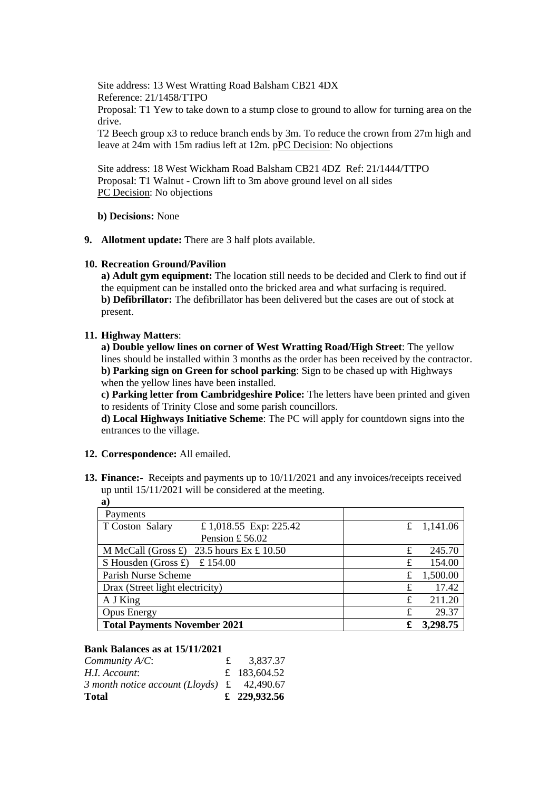Site address: 13 West Wratting Road Balsham CB21 4DX Reference: 21/1458/TTPO Proposal: T1 Yew to take down to a stump close to ground to allow for turning area on the drive.

T2 Beech group x3 to reduce branch ends by 3m. To reduce the crown from 27m high and leave at 24m with 15m radius left at 12m. pPC Decision: No objections

Site address: 18 West Wickham Road Balsham CB21 4DZ Ref: 21/1444/TTPO Proposal: T1 Walnut - Crown lift to 3m above ground level on all sides PC Decision: No objections

**b) Decisions:** None

**9. Allotment update:** There are 3 half plots available.

#### **10. Recreation Ground/Pavilion**

**a) Adult gym equipment:** The location still needs to be decided and Clerk to find out if the equipment can be installed onto the bricked area and what surfacing is required. **b) Defibrillator:** The defibrillator has been delivered but the cases are out of stock at present.

#### **11. Highway Matters**:

**a) Double yellow lines on corner of West Wratting Road/High Street**: The yellow lines should be installed within 3 months as the order has been received by the contractor. **b) Parking sign on Green for school parking**: Sign to be chased up with Highways when the yellow lines have been installed.

**c) Parking letter from Cambridgeshire Police:** The letters have been printed and given to residents of Trinity Close and some parish councillors.

**d) Local Highways Initiative Scheme**: The PC will apply for countdown signs into the entrances to the village.

#### **12. Correspondence:** All emailed.

**13. Finance:-** Receipts and payments up to 10/11/2021 and any invoices/receipts received up until 15/11/2021 will be considered at the meeting. **a)**

| a)                                                        |   |              |
|-----------------------------------------------------------|---|--------------|
| Payments                                                  |   |              |
| £1,018.55 Exp: 225.42<br>T Coston Salary                  |   | £ $1,141.06$ |
| Pension £56.02                                            |   |              |
| M McCall (Gross $\pounds$ ) 23.5 hours Ex $\pounds$ 10.50 | £ | 245.70       |
| S Housden (Gross £) £ 154.00                              | £ | 154.00       |
| Parish Nurse Scheme                                       | £ | 1,500.00     |
| Drax (Street light electricity)                           | £ | 17.42        |
| A J King                                                  | £ | 211.20       |
| <b>Opus Energy</b>                                        | £ | 29.37        |
| <b>Total Payments November 2021</b>                       | £ | 3,298.75     |

#### **Bank Balances as at 15/11/2021**

| <b>Total</b>                                               | £ 229,932.56 |
|------------------------------------------------------------|--------------|
| 3 month notice account (Lloyds) $\text{\pounds}$ 42,490.67 |              |
| H.I. Account:                                              | £ 183,604.52 |
| Community $A/C$ :                                          | 3,837.37     |